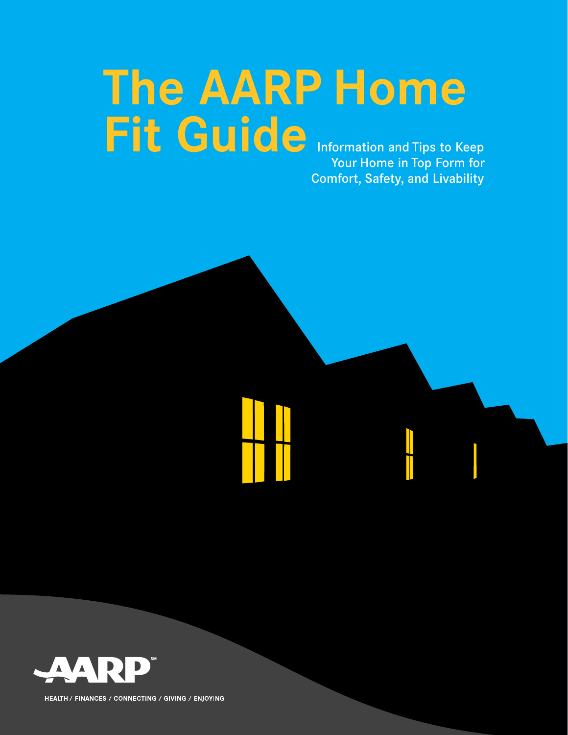# **The AARP Home Fit Guide** Information and Tips to Keep

Your Home in Top Form for Comfort, Safety, and Livability

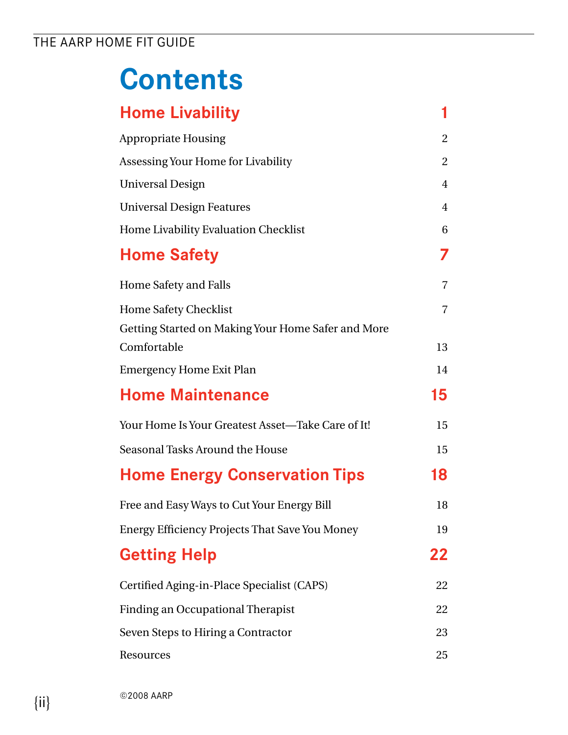## **Contents**

| <b>Home Livability</b>                                | 1              |
|-------------------------------------------------------|----------------|
| <b>Appropriate Housing</b>                            | 2              |
| Assessing Your Home for Livability                    | $\overline{2}$ |
| <b>Universal Design</b>                               | $\overline{4}$ |
| <b>Universal Design Features</b>                      | $\overline{4}$ |
| Home Livability Evaluation Checklist                  | 6              |
| <b>Home Safety</b>                                    | 7              |
| Home Safety and Falls                                 | $\overline{7}$ |
| <b>Home Safety Checklist</b>                          | $\overline{7}$ |
| Getting Started on Making Your Home Safer and More    |                |
| Comfortable                                           | 13             |
| <b>Emergency Home Exit Plan</b>                       | 14             |
| <b>Home Maintenance</b>                               | 15             |
| Your Home Is Your Greatest Asset—Take Care of It!     | 15             |
| Seasonal Tasks Around the House                       | 15             |
| <b>Home Energy Conservation Tips</b>                  | 18             |
| Free and Easy Ways to Cut Your Energy Bill            | 18             |
| <b>Energy Efficiency Projects That Save You Money</b> | 19             |
| <b>Getting Help</b>                                   | 22             |
| Certified Aging-in-Place Specialist (CAPS)            | 22             |
| <b>Finding an Occupational Therapist</b>              | 22             |
| Seven Steps to Hiring a Contractor                    | 23             |
| Resources                                             | 25             |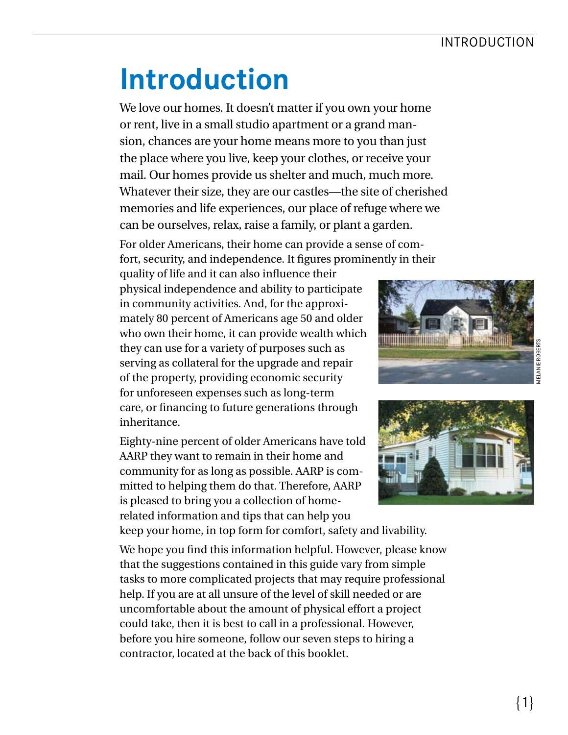### INTRODUCTION

## **Introduction**

 We love our homes. It doesn't matter if you own your home or rent, live in a small studio apartment or a grand man- sion, chances are your home means more to you than just the place where you live, keep your clothes, or receive your mail. Our homes provide us shelter and much, much more. Whatever their size, they are our castles—the site of cherished memories and life experiences, our place of refuge where we can be ourselves, relax, raise a family, or plant a garden.

For older Americans, their home can provide a sense of comfort, security, and independence. It fgures prominently in their

quality of life and it can also infuence their physical independence and ability to participate in community activities. And, for the approximately 80 percent of Americans age 50 and older who own their home, it can provide wealth which they can use for a variety of purposes such as serving as collateral for the upgrade and repair of the property, providing economic security for unforeseen expenses such as long-term care, or fnancing to future generations through inheritance.

Eighty-nine percent of older Americans have told AARP they want to remain in their home and community for as long as possible. AARP is committed to helping them do that. Therefore, AARP is pleased to bring you a collection of homerelated information and tips that can help you keep your home, in top form for comfort, safety and livability.

We hope you fnd this information helpful. However, please know that the suggestions contained in this guide vary from simple tasks to more complicated projects that may require professional help. If you are at all unsure of the level of skill needed or are uncomfortable about the amount of physical effort a project could take, then it is best to call in a professional. However, before you hire someone, follow our seven steps to hiring a contractor, located at the back of this booklet.



**TELEVISION IN THE EXIST**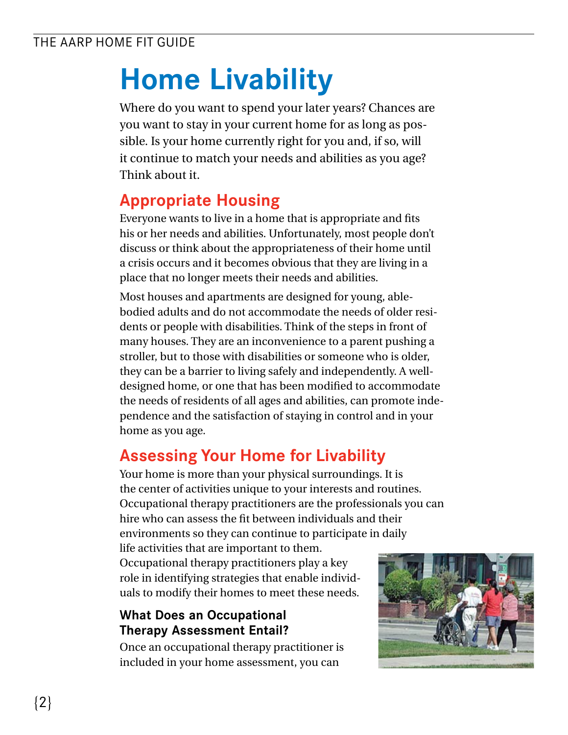## **Home Livability**

Where do you want to spend your later years? Chances are you want to stay in your current home for as long as possible. Is your home currently right for you and, if so, will it continue to match your needs and abilities as you age? Think about it.

## **Appropriate Housing**

Everyone wants to live in a home that is appropriate and fits his or her needs and abilities. Unfortunately, most people don't discuss or think about the appropriateness of their home until a crisis occurs and it becomes obvious that they are living in a place that no longer meets their needs and abilities.

Most houses and apartments are designed for young, ablebodied adults and do not accommodate the needs of older residents or people with disabilities. Think of the steps in front of many houses. They are an inconvenience to a parent pushing a stroller, but to those with disabilities or someone who is older, they can be a barrier to living safely and independently. A welldesigned home, or one that has been modifed to accommodate the needs of residents of all ages and abilities, can promote independence and the satisfaction of staying in control and in your home as you age.

## **Assessing Your Home for Livability**

Your home is more than your physical surroundings. It is the center of activities unique to your interests and routines. Occupational therapy practitioners are the professionals you can hire who can assess the ft between individuals and their environments so they can continue to participate in daily life activities that are important to them. Occupational therapy practitioners play a key

role in identifying strategies that enable individuals to modify their homes to meet these needs.

#### **What Does an Occupational Therapy Assessment Entail?**

Once an occupational therapy practitioner is included in your home assessment, you can

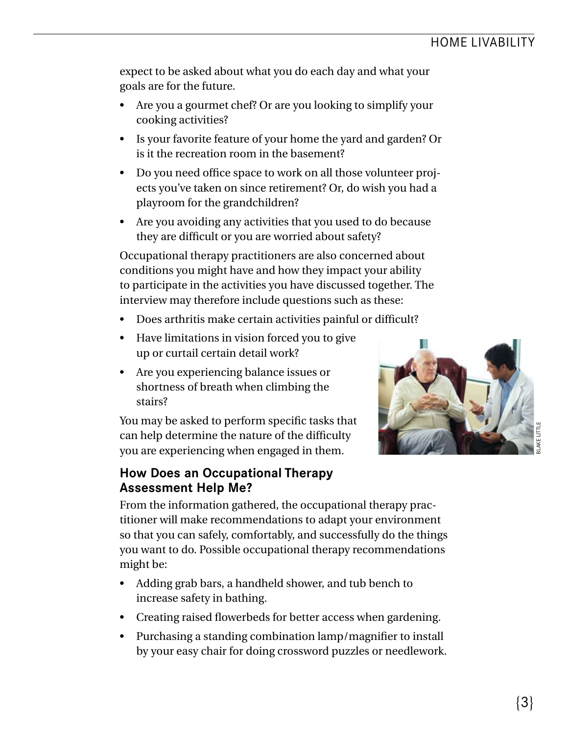expect to be asked about what you do each day and what your goals are for the future.

- Are you a gourmet chef? Or are you looking to simplify your cooking activities?
- Is your favorite feature of your home the yard and garden? Or is it the recreation room in the basement?
- Do you need office space to work on all those volunteer projects you've taken on since retirement? Or, do wish you had a playroom for the grandchildren?
- Are you avoiding any activities that you used to do because they are diffcult or you are worried about safety?

Occupational therapy practitioners are also concerned about conditions you might have and how they impact your ability to participate in the activities you have discussed together. The interview may therefore include questions such as these:

- Does arthritis make certain activities painful or diffcult?
- Have limitations in vision forced you to give up or curtail certain detail work?
- Are you experiencing balance issues or shortness of breath when climbing the stairs?

You may be asked to perform specifc tasks that can help determine the nature of the diffculty you are experiencing when engaged in them.

#### **How Does an Occupational Therapy Assessment Help Me?**



BLAKE LITTLE

From the information gathered, the occupational therapy practitioner will make recommendations to adapt your environment so that you can safely, comfortably, and successfully do the things you want to do. Possible occupational therapy recommendations might be:

- Adding grab bars, a handheld shower, and tub bench to increase safety in bathing.
- Creating raised flowerbeds for better access when gardening.
- Purchasing a standing combination lamp/magnifer to install by your easy chair for doing crossword puzzles or needlework.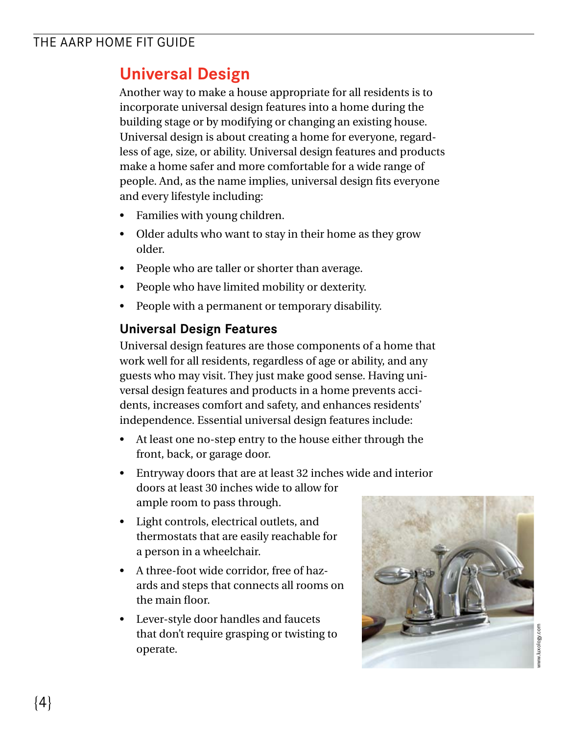## **Universal Design**

Another way to make a house appropriate for all residents is to incorporate universal design features into a home during the building stage or by modifying or changing an existing house. Universal design is about creating a home for everyone, regardless of age, size, or ability. Universal design features and products make a home safer and more comfortable for a wide range of people. And, as the name implies, universal design fts everyone and every lifestyle including:

- Families with young children.
- Older adults who want to stay in their home as they grow older.
- People who are taller or shorter than average.
- People who have limited mobility or dexterity.
- People with a permanent or temporary disability.

#### **Universal Design Features**

Universal design features are those components of a home that work well for all residents, regardless of age or ability, and any guests who may visit. They just make good sense. Having universal design features and products in a home prevents accidents, increases comfort and safety, and enhances residents' independence. Essential universal design features include:

- At least one no-step entry to the house either through the front, back, or garage door.
- Entryway doors that are at least 32 inches wide and interior doors at least 30 inches wide to allow for ample room to pass through.
- Light controls, electrical outlets, and thermostats that are easily reachable for a person in a wheelchair.
- A three-foot wide corridor, free of hazards and steps that connects all rooms on the main floor.
- Lever-style door handles and faucets that don't require grasping or twisting to operate.

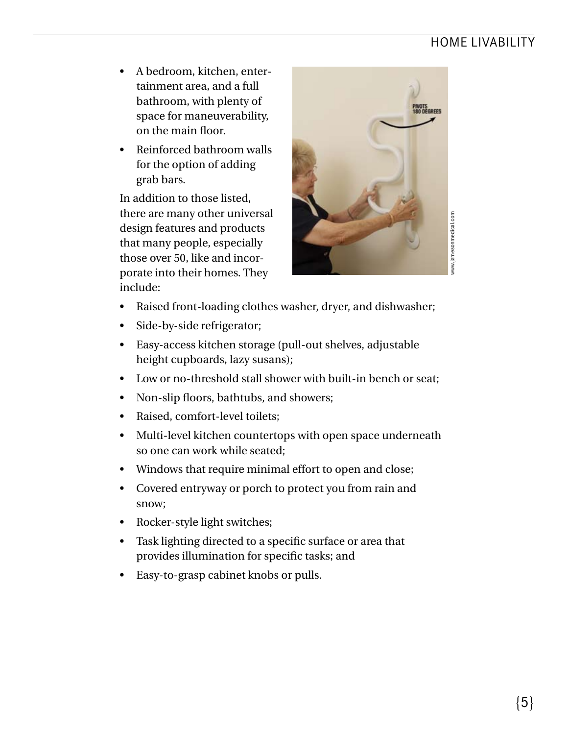### HOME LIVABILITY

- A bedroom, kitchen, entertainment area, and a full bathroom, with plenty of space for maneuverability, on the main foor.
- Reinforced bathroom walls for the option of adding grab bars.

In addition to those listed, there are many other universal design features and products that many people, especially those over 50, like and incorporate into their homes. They include:



www.jamesonmedical.com

- Raised front-loading clothes washer, dryer, and dishwasher;
- Side-by-side refrigerator;
- Easy-access kitchen storage (pull-out shelves, adjustable height cupboards, lazy susans);
- Low or no-threshold stall shower with built-in bench or seat;
- Non-slip floors, bathtubs, and showers;
- Raised, comfort-level toilets;
- Multi-level kitchen countertops with open space underneath so one can work while seated;
- Windows that require minimal effort to open and close;
- Covered entryway or porch to protect you from rain and snow;
- Rocker-style light switches;
- Task lighting directed to a specific surface or area that provides illumination for specifc tasks; and
- Easy-to-grasp cabinet knobs or pulls.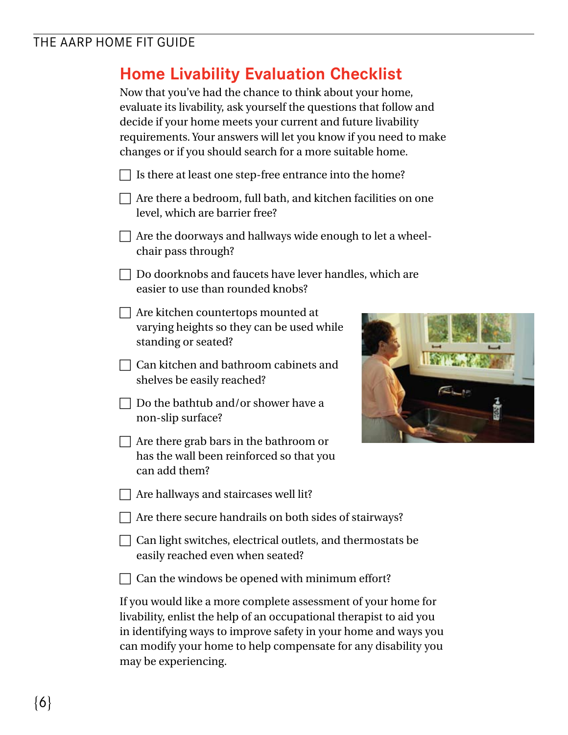## **Home Livability Evaluation Checklist**

Now that you've had the chance to think about your home, evaluate its livability, ask yourself the questions that follow and decide if your home meets your current and future livability requirements. Your answers will let you know if you need to make changes or if you should search for a more suitable home.

|  | $\Box$ Is there at least one step-free entrance into the home? |
|--|----------------------------------------------------------------|
|  |                                                                |

- $\Box$  Are there a bedroom, full bath, and kitchen facilities on one level, which are barrier free?
- $\Box$  Are the doorways and hallways wide enough to let a wheelchair pass through?
- $\Box$  Do doorknobs and faucets have lever handles, which are easier to use than rounded knobs?
- $\Box$  Are kitchen countertops mounted at varying heights so they can be used while standing or seated?
- $\Box$  Can kitchen and bathroom cabinets and shelves be easily reached?
- $\Box$  Do the bathtub and/or shower have a non-slip surface?
- $\Box$  Are there grab bars in the bathroom or has the wall been reinforced so that you can add them?
- $\Box$  Are hallways and staircases well lit?
- $\Box$  Are there secure handrails on both sides of stairways?
- $\Box$  Can light switches, electrical outlets, and thermostats be easily reached even when seated?
- $\Box$  Can the windows be opened with minimum effort?

If you would like a more complete assessment of your home for livability, enlist the help of an occupational therapist to aid you in identifying ways to improve safety in your home and ways you can modify your home to help compensate for any disability you may be experiencing.

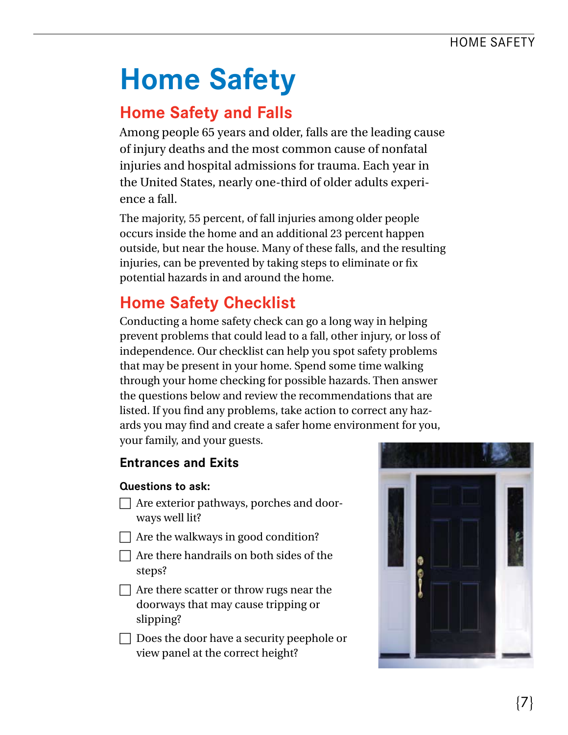## **Home Safety**

## **Home Safety and Falls**

Among people 65 years and older, falls are the leading cause of injury deaths and the most common cause of nonfatal injuries and hospital admissions for trauma. Each year in the United States, nearly one-third of older adults experience a fall.

The majority, 55 percent, of fall injuries among older people occurs inside the home and an additional 23 percent happen outside, but near the house. Many of these falls, and the resulting injuries, can be prevented by taking steps to eliminate or fx potential hazards in and around the home.

## **Home Safety Checklist**

Conducting a home safety check can go a long way in helping prevent problems that could lead to a fall, other injury, or loss of independence. Our checklist can help you spot safety problems that may be present in your home. Spend some time walking through your home checking for possible hazards. Then answer the questions below and review the recommendations that are listed. If you find any problems, take action to correct any hazards you may fnd and create a safer home environment for you, your family, and your guests.

#### **Entrances and Exits**

- $\Box$  Are exterior pathways, porches and doorways well lit?
- $\Box$  Are the walkways in good condition?
- $\Box$  Are there handrails on both sides of the steps?
- $\Box$  Are there scatter or throw rugs near the doorways that may cause tripping or slipping?
- $\Box$  Does the door have a security peephole or view panel at the correct height?

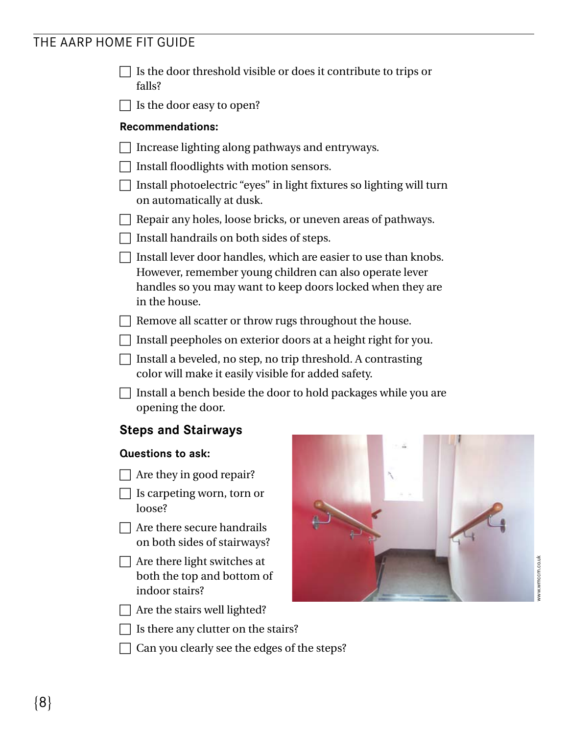- $\Box$  Is the door threshold visible or does it contribute to trips or falls?
- $\Box$  Is the door easy to open?

#### **Recommendations:**

- $\Box$  Increase lighting along pathways and entryways.
- $\Box$  Install floodlights with motion sensors.
- $\Box$  Install photoelectric "eyes" in light fixtures so lighting will turn on automatically at dusk.
- $\Box$  Repair any holes, loose bricks, or uneven areas of pathways.
- $\Box$  Install handrails on both sides of steps.
- $\Box$  Install lever door handles, which are easier to use than knobs. However, remember young children can also operate lever handles so you may want to keep doors locked when they are in the house.
- $\Box$  Remove all scatter or throw rugs throughout the house.
- $\Box$  Install peepholes on exterior doors at a height right for you.
- $\Box$  Install a beveled, no step, no trip threshold. A contrasting color will make it easily visible for added safety.
- $\Box$  Install a bench beside the door to hold packages while you are opening the door.

#### **Steps and Stairways**

- $\Box$  Are they in good repair?
- $\bigsqcup$  Is carpeting worn, torn or loose?
- $\Box$  Are there secure handrails on both sides of stairways?
- $\Box$  Are there light switches at both the top and bottom of indoor stairs?
- $\Box$  Are the stairs well lighted?
- $\Box$  Is there any clutter on the stairs?
- $\Box$  Can you clearly see the edges of the steps?

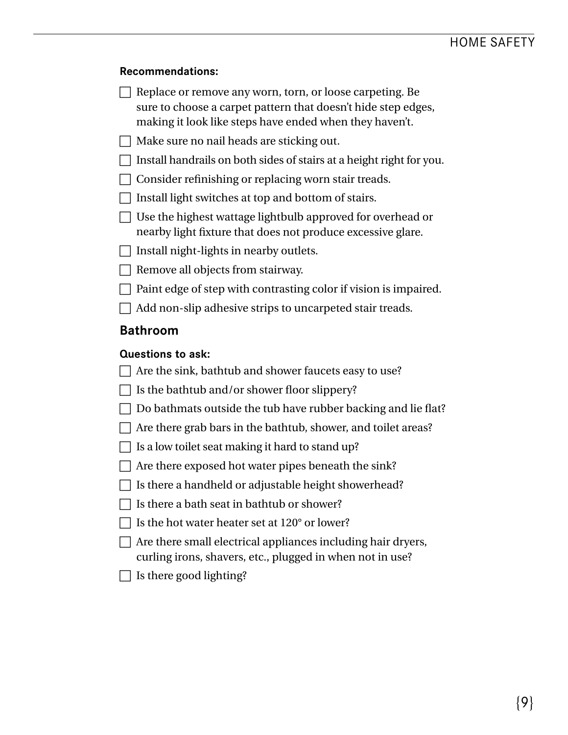#### **Recommendations:**

- $\Box$  Replace or remove any worn, torn, or loose carpeting. Be sure to choose a carpet pattern that doesn't hide step edges, making it look like steps have ended when they haven't.
- $\Box$  Make sure no nail heads are sticking out.
- $\Box$  Install handrails on both sides of stairs at a height right for you.
- $\Box$  Consider refinishing or replacing worn stair treads.
- $\Box$  Install light switches at top and bottom of stairs.
- $\Box$  Use the highest wattage lightbulb approved for overhead or nearby light fxture that does not produce excessive glare.
- $\Box$  Install night-lights in nearby outlets.
- $\Box$  Remove all objects from stairway.
- $\Box$  Paint edge of step with contrasting color if vision is impaired.
- $\Box$  Add non-slip adhesive strips to uncarpeted stair treads.

#### **Bathroom**

- $\Box$  Are the sink, bathtub and shower faucets easy to use?
- $\Box$  Is the bathtub and/or shower floor slippery?
- $\Box$  Do bathmats outside the tub have rubber backing and lie flat?
- $\Box$  Are there grab bars in the bathtub, shower, and toilet areas?
- $\Box$  Is a low toilet seat making it hard to stand up?
- $\Box$  Are there exposed hot water pipes beneath the sink?
- $\Box$  Is there a handheld or adjustable height showerhead?
- $\Box$  Is there a bath seat in bathtub or shower?
- $\Box$  Is the hot water heater set at 120 $^{\circ}$  or lower?
- $\Box$  Are there small electrical appliances including hair dryers, curling irons, shavers, etc., plugged in when not in use?
- Is there good lighting?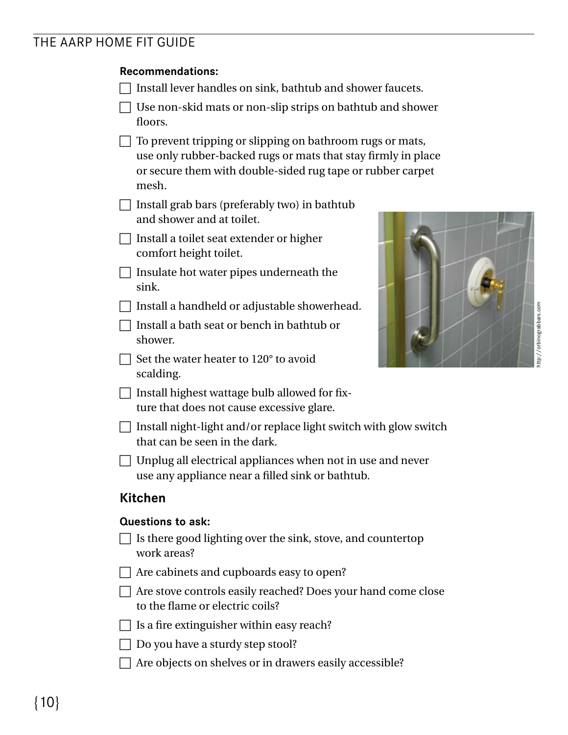#### **Recommendations:**

- $\Box$  Install lever handles on sink, bathtub and shower faucets.
- $\Box$  Use non-skid mats or non-slip strips on bathtub and shower floors.
- $\Box$  To prevent tripping or slipping on bathroom rugs or mats, use only rubber-backed rugs or mats that stay frmly in place or secure them with double-sided rug tape or rubber carpet mesh.
- $\Box$  Install grab bars (preferably two) in bathtub and shower and at toilet.
- $\Box$  Install a toilet seat extender or higher comfort height toilet.
- $\Box$  Insulate hot water pipes underneath the sink.
- $\Box$  Install a handheld or adjustable showerhead.
- $\Box$  Install a bath seat or bench in bathtub or shower.
- $\Box$  Set the water heater to 120 $^{\circ}$  to avoid scalding.
- $\Box$  Install highest wattage bulb allowed for fixture that does not cause excessive glare.



- $\Box$  Install night-light and/or replace light switch with glow switch that can be seen in the dark.
- $\Box$  Unplug all electrical appliances when not in use and never use any appliance near a flled sink or bathtub.

#### **Kitchen**

- $\Box$  Is there good lighting over the sink, stove, and countertop work areas?
- $\Box$  Are cabinets and cupboards easy to open?
- $\Box$  Are stove controls easily reached? Does your hand come close to the fame or electric coils?
- $\Box$  Is a fire extinguisher within easy reach?
- $\Box$  Do you have a sturdy step stool?
- $\Box$  Are objects on shelves or in drawers easily accessible?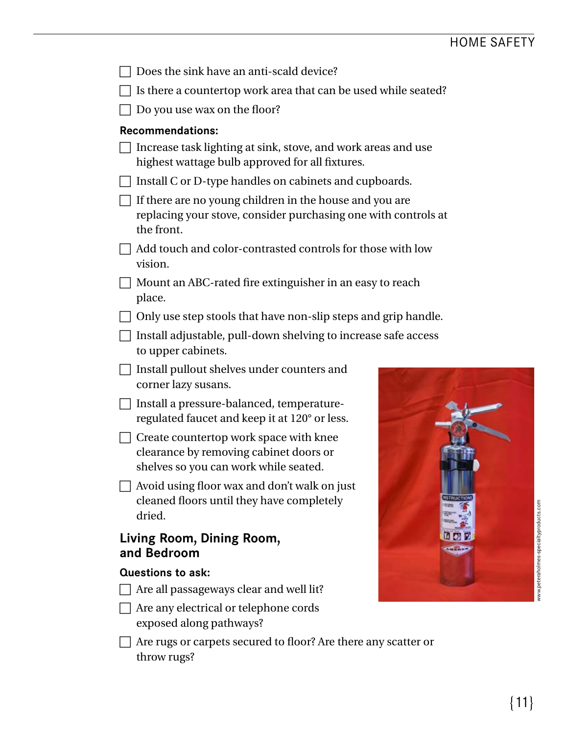| Does the sink have an anti-scald device?                                                                                                |
|-----------------------------------------------------------------------------------------------------------------------------------------|
| Is there a countertop work area that can be used while seated?                                                                          |
| Do you use wax on the floor?                                                                                                            |
| <b>Recommendations:</b>                                                                                                                 |
| Increase task lighting at sink, stove, and work areas and use<br>highest wattage bulb approved for all fixtures.                        |
| Install C or D-type handles on cabinets and cupboards.                                                                                  |
| If there are no young children in the house and you are<br>replacing your stove, consider purchasing one with controls at<br>the front. |
| Add touch and color-contrasted controls for those with low<br>vision.                                                                   |
| Mount an ABC-rated fire extinguisher in an easy to reach<br>place.                                                                      |
| Only use step stools that have non-slip steps and grip handle.                                                                          |
| Install adjustable, pull-down shelving to increase safe access<br>to upper cabinets.                                                    |
| Install pullout shelves under counters and<br>corner lazy susans.                                                                       |
| Install a pressure-balanced, temperature-<br>regulated faucet and keep it at 120° or less.                                              |
| Create countertop work space with knee<br>clearance by removing cabinet doors or<br>shelves so you can work while seated.               |
| Avoid using floor wax and don't walk on just<br>cleaned floors until they have completely<br>dried.                                     |
| Living Room, Dining Room,<br>and Bedroom                                                                                                |
| <b>Questions to ask:</b>                                                                                                                |
| Are all passageways clear and well lit?                                                                                                 |
| Are any electrical or telephone cords<br>exposed along pathways?                                                                        |
| Are rugs or carpets secured to floor? Are there any scatter or<br>throw rugs?                                                           |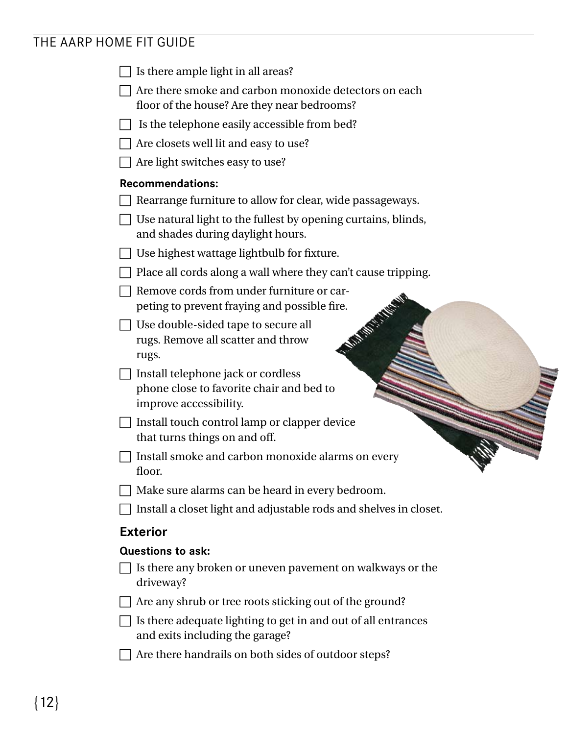| Is there ample light in all areas?                                                                     |
|--------------------------------------------------------------------------------------------------------|
| Are there smoke and carbon monoxide detectors on each<br>floor of the house? Are they near bedrooms?   |
| Is the telephone easily accessible from bed?                                                           |
| Are closets well lit and easy to use?                                                                  |
| Are light switches easy to use?                                                                        |
| <b>Recommendations:</b>                                                                                |
| Rearrange furniture to allow for clear, wide passageways.                                              |
| Use natural light to the fullest by opening curtains, blinds,<br>and shades during daylight hours.     |
| Use highest wattage lightbulb for fixture.                                                             |
| Place all cords along a wall where they can't cause tripping.                                          |
| Remove cords from under furniture or car-<br>peting to prevent fraying and possible fire.              |
| <b>MARITISTS</b><br>Use double-sided tape to secure all<br>rugs. Remove all scatter and throw<br>rugs. |
| Install telephone jack or cordless                                                                     |
| phone close to favorite chair and bed to<br>improve accessibility.                                     |
| Install touch control lamp or clapper device<br>that turns things on and off.                          |
| Install smoke and carbon monoxide alarms on every<br>floor.                                            |
| Make sure alarms can be heard in every bedroom.                                                        |
| Install a closet light and adjustable rods and shelves in closet.                                      |
| <b>Exterior</b>                                                                                        |
| <b>Questions to ask:</b>                                                                               |
| Is there any broken or uneven pavement on walkways or the<br>driveway?                                 |
| Are any shrub or tree roots sticking out of the ground?                                                |
| Is there adequate lighting to get in and out of all entrances<br>and exits including the garage?       |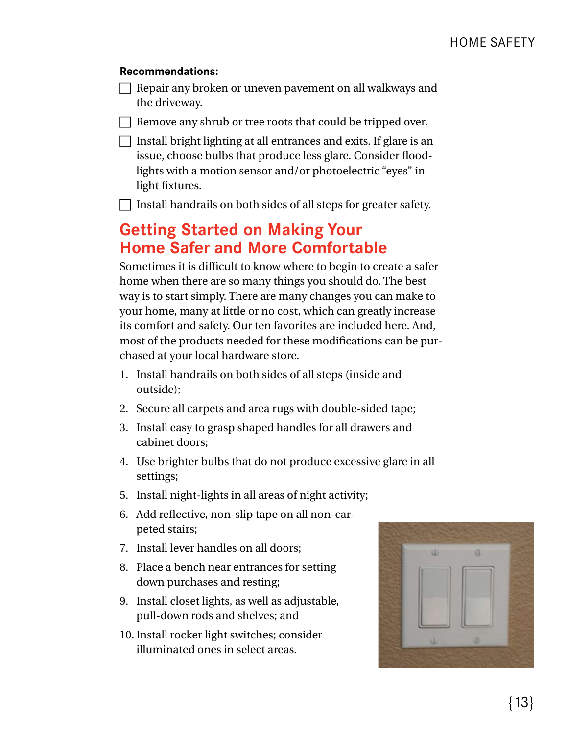#### **Recommendations:**

 $\Box$  Repair any broken or uneven pavement on all walkways and the driveway.

 $\Box$  Remove any shrub or tree roots that could be tripped over.

 $\Box$  Install bright lighting at all entrances and exits. If glare is an issue, choose bulbs that produce less glare. Consider floodlights with a motion sensor and/or photoelectric "eyes" in light fxtures.

 $\Box$  Install handrails on both sides of all steps for greater safety.

## **Getting Started on Making Your Home Safer and More Comfortable**

Sometimes it is diffcult to know where to begin to create a safer home when there are so many things you should do. The best way is to start simply. There are many changes you can make to your home, many at little or no cost, which can greatly increase its comfort and safety. Our ten favorites are included here. And, most of the products needed for these modifcations can be purchased at your local hardware store.

- 1. Install handrails on both sides of all steps (inside and outside);
- 2. Secure all carpets and area rugs with double-sided tape;
- 3. Install easy to grasp shaped handles for all drawers and cabinet doors;
- 4. Use brighter bulbs that do not produce excessive glare in all settings;
- 5. Install night-lights in all areas of night activity;
- 6. Add refective, non-slip tape on all non-carpeted stairs;
- 7. Install lever handles on all doors;
- 8. Place a bench near entrances for setting down purchases and resting;
- 9. Install closet lights, as well as adjustable, pull-down rods and shelves; and
- 10. Install rocker light switches; consider illuminated ones in select areas.

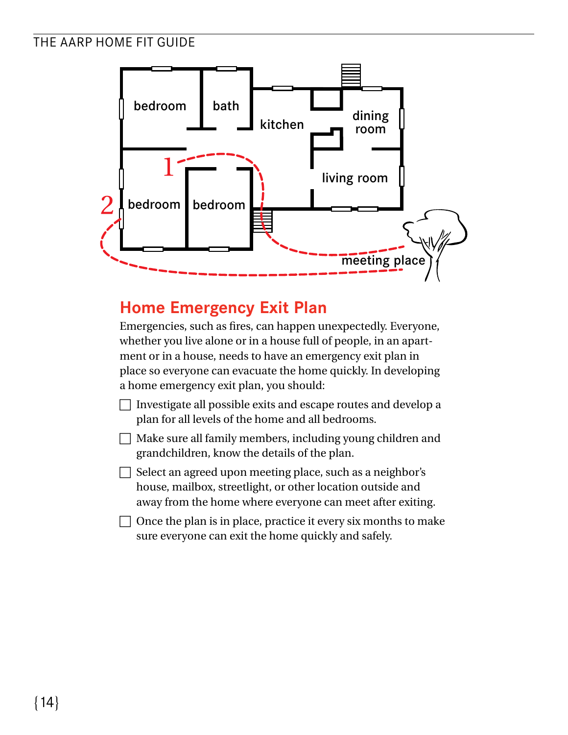

## **Home Emergency Exit Plan**

Emergencies, such as fres, can happen unexpectedly. Everyone, whether you live alone or in a house full of people, in an apartment or in a house, needs to have an emergency exit plan in place so everyone can evacuate the home quickly. In developing a home emergency exit plan, you should:

- $\Box$  Investigate all possible exits and escape routes and develop a plan for all levels of the home and all bedrooms.
- $\Box$  Make sure all family members, including young children and grandchildren, know the details of the plan.
- $\Box$  Select an agreed upon meeting place, such as a neighbor's house, mailbox, streetlight, or other location outside and away from the home where everyone can meet after exiting.
- $\Box$  Once the plan is in place, practice it every six months to make sure everyone can exit the home quickly and safely.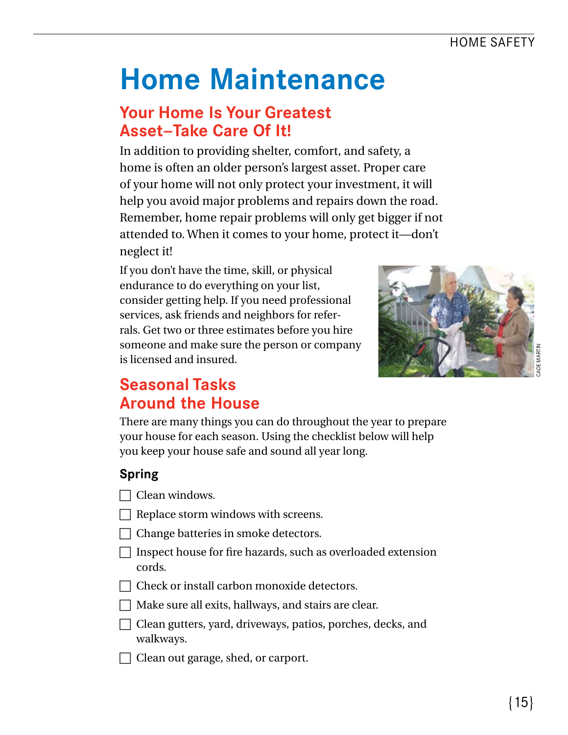## **Home Maintenance**

## **Your Home Is Your Greatest Asset—Take Care Of It!**

In addition to providing shelter, comfort, and safety, a home is often an older person's largest asset. Proper care of your home will not only protect your investment, it will help you avoid major problems and repairs down the road. Remember, home repair problems will only get bigger if not attended to. When it comes to your home, protect it—don't neglect it!

If you don't have the time, skill, or physical endurance to do everything on your list, consider getting help. If you need professional services, ask friends and neighbors for referrals. Get two or three estimates before you hire someone and make sure the person or company is licensed and insured.



## **Seasonal Tasks Around the House**

There are many things you can do throughout the year to prepare your house for each season. Using the checklist below will help you keep your house safe and sound all year long.

### **Spring**

- $\Box$  Clean windows.
- $\Box$  Replace storm windows with screens.
- $\Box$  Change batteries in smoke detectors.
- $\Box$  Inspect house for fire hazards, such as overloaded extension cords.
- $\Box$  Check or install carbon monoxide detectors.
- $\Box$  Make sure all exits, hallways, and stairs are clear.
- $\Box$  Clean gutters, yard, driveways, patios, porches, decks, and walkways.
- $\Box$  Clean out garage, shed, or carport.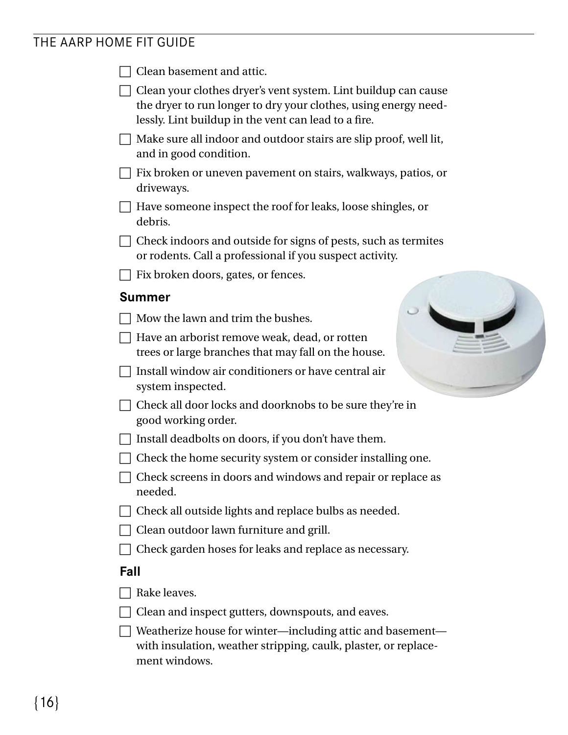|      | Clean basement and attic.                                                                                                                                                                 |
|------|-------------------------------------------------------------------------------------------------------------------------------------------------------------------------------------------|
|      | Clean your clothes dryer's vent system. Lint buildup can cause<br>the dryer to run longer to dry your clothes, using energy need-<br>lessly. Lint buildup in the vent can lead to a fire. |
|      | Make sure all indoor and outdoor stairs are slip proof, well lit,<br>and in good condition.                                                                                               |
|      | Fix broken or uneven pavement on stairs, walkways, patios, or<br>driveways.                                                                                                               |
|      | Have someone inspect the roof for leaks, loose shingles, or<br>debris.                                                                                                                    |
|      | Check indoors and outside for signs of pests, such as termites<br>or rodents. Call a professional if you suspect activity.                                                                |
|      | Fix broken doors, gates, or fences.                                                                                                                                                       |
|      | <b>Summer</b>                                                                                                                                                                             |
|      | Mow the lawn and trim the bushes.                                                                                                                                                         |
|      | Have an arborist remove weak, dead, or rotten<br>trees or large branches that may fall on the house.                                                                                      |
|      | Install window air conditioners or have central air<br>system inspected.                                                                                                                  |
|      | Check all door locks and doorknobs to be sure they're in<br>good working order.                                                                                                           |
|      | Install deadbolts on doors, if you don't have them.                                                                                                                                       |
|      | Check the home security system or consider installing one.                                                                                                                                |
|      | Check screens in doors and windows and repair or replace as<br>needed.                                                                                                                    |
|      | Check all outside lights and replace bulbs as needed.                                                                                                                                     |
|      | Clean outdoor lawn furniture and grill.                                                                                                                                                   |
|      | Check garden hoses for leaks and replace as necessary.                                                                                                                                    |
| Fall |                                                                                                                                                                                           |
|      | Rake leaves.                                                                                                                                                                              |
|      | Clean and inspect gutters, downspouts, and eaves.                                                                                                                                         |
|      | Weatherize house for winter—including attic and basement—<br>with insulation, weather stripping, caulk, plaster, or replace-<br>ment windows.                                             |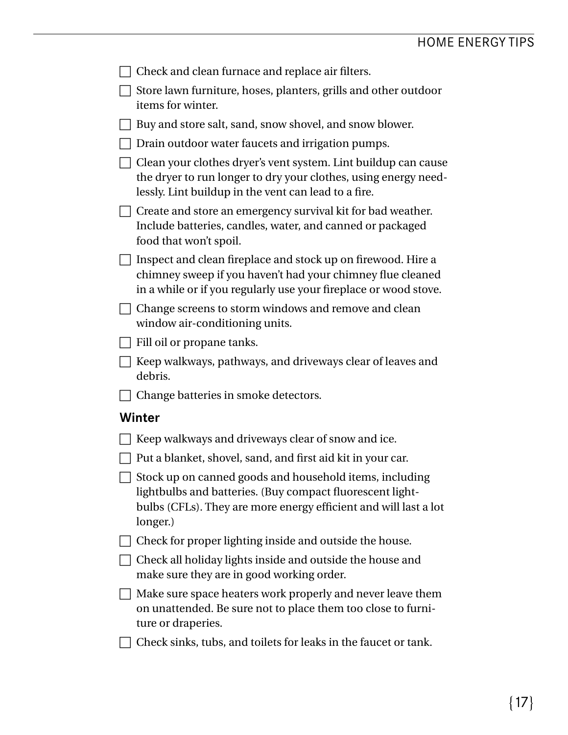| Check and clean furnace and replace air filters.                                                                                                                                                            |
|-------------------------------------------------------------------------------------------------------------------------------------------------------------------------------------------------------------|
| Store lawn furniture, hoses, planters, grills and other outdoor<br>items for winter.                                                                                                                        |
| Buy and store salt, sand, snow shovel, and snow blower.                                                                                                                                                     |
| Drain outdoor water faucets and irrigation pumps.                                                                                                                                                           |
| Clean your clothes dryer's vent system. Lint buildup can cause<br>the dryer to run longer to dry your clothes, using energy need-<br>lessly. Lint buildup in the vent can lead to a fire.                   |
| Create and store an emergency survival kit for bad weather.<br>Include batteries, candles, water, and canned or packaged<br>food that won't spoil.                                                          |
| Inspect and clean fireplace and stock up on firewood. Hire a<br>chimney sweep if you haven't had your chimney flue cleaned<br>in a while or if you regularly use your fireplace or wood stove.              |
| Change screens to storm windows and remove and clean<br>window air-conditioning units.                                                                                                                      |
| Fill oil or propane tanks.                                                                                                                                                                                  |
| Keep walkways, pathways, and driveways clear of leaves and<br>debris.                                                                                                                                       |
|                                                                                                                                                                                                             |
| Change batteries in smoke detectors.                                                                                                                                                                        |
| Winter                                                                                                                                                                                                      |
| Keep walkways and driveways clear of snow and ice.                                                                                                                                                          |
| Put a blanket, shovel, sand, and first aid kit in your car.                                                                                                                                                 |
| $\Box$ Stock up on canned goods and household items, including<br>lightbulbs and batteries. (Buy compact fluorescent light-<br>bulbs (CFLs). They are more energy efficient and will last a lot<br>longer.) |
| Check for proper lighting inside and outside the house.                                                                                                                                                     |
| Check all holiday lights inside and outside the house and<br>make sure they are in good working order.                                                                                                      |
| Make sure space heaters work properly and never leave them<br>on unattended. Be sure not to place them too close to furni-<br>ture or draperies.                                                            |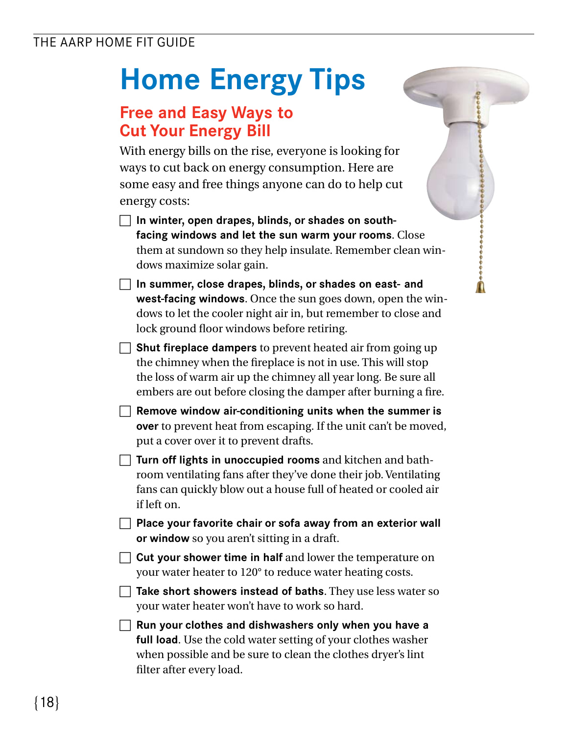## **Home Energy Tips**

## **Free and Easy Ways to Cut Your Energy Bill**

With energy bills on the rise, everyone is looking for ways to cut back on energy consumption. Here are some easy and free things anyone can do to help cut energy costs:

- **In winter, open drapes, blinds, or shades on southfacing windows and let the sun warm your rooms**. Close them at sundown so they help insulate. Remember clean windows maximize solar gain.
- **In summer, close drapes, blinds, or shades on east- and west-facing windows**. Once the sun goes down, open the windows to let the cooler night air in, but remember to close and lock ground floor windows before retiring.
- **Shut fireplace dampers** to prevent heated air from going up the chimney when the freplace is not in use. This will stop the loss of warm air up the chimney all year long. Be sure all embers are out before closing the damper after burning a fre.
- **Remove window air-conditioning units when the summer is over** to prevent heat from escaping. If the unit can't be moved, put a cover over it to prevent drafts.
- $\Box$  **Turn off lights in unoccupied rooms** and kitchen and bathroom ventilating fans after they've done their job. Ventilating fans can quickly blow out a house full of heated or cooled air if left on.
- **Place your favorite chair or sofa away from an exterior wall or window** so you aren't sitting in a draft.
- $\Box$  Cut your shower time in half and lower the temperature on your water heater to 120° to reduce water heating costs.
- **Take short showers instead of baths**. They use less water so your water heater won't have to work so hard.
- **T** Run your clothes and dishwashers only when you have a **full load**. Use the cold water setting of your clothes washer when possible and be sure to clean the clothes dryer's lint flter after every load.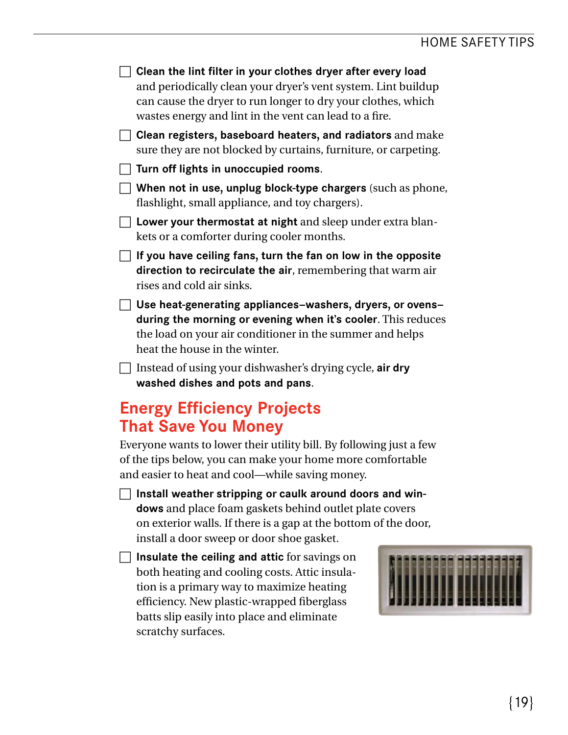$\sqcap$  Clean the lint filter in your clothes dryer after every load and periodically clean your dryer's vent system. Lint buildup can cause the dryer to run longer to dry your clothes, which wastes energy and lint in the vent can lead to a fre.

**Clean registers, baseboard heaters, and radiators** and make sure they are not blocked by curtains, furniture, or carpeting.

- **Turn off lights in unoccupied rooms.**
- **When not in use, unplug block-type chargers** (such as phone, fashlight, small appliance, and toy chargers).
- $\Box$  Lower your thermostat at night and sleep under extra blankets or a comforter during cooler months.

 $\Box$  If you have ceiling fans, turn the fan on low in the opposite **direction to recirculate the air**, remembering that warm air rises and cold air sinks.

c **Use heat-generating appliances—washers, dryers, or ovens during the morning or evening when it's cooler**. This reduces the load on your air conditioner in the summer and helps heat the house in the winter.

**T** Instead of using your dishwasher's drying cycle, air dry **washed dishes and pots and pans**.

## **Energy Efficiency Projects That Save You Money**

Everyone wants to lower their utility bill. By following just a few of the tips below, you can make your home more comfortable and easier to heat and cool—while saving money.

c **Install weather stripping or caulk around doors and windows** and place foam gaskets behind outlet plate covers on exterior walls. If there is a gap at the bottom of the door, install a door sweep or door shoe gasket.

**T** Insulate the ceiling and attic for savings on both heating and cooling costs. Attic insulation is a primary way to maximize heating effciency. New plastic-wrapped fberglass batts slip easily into place and eliminate scratchy surfaces.

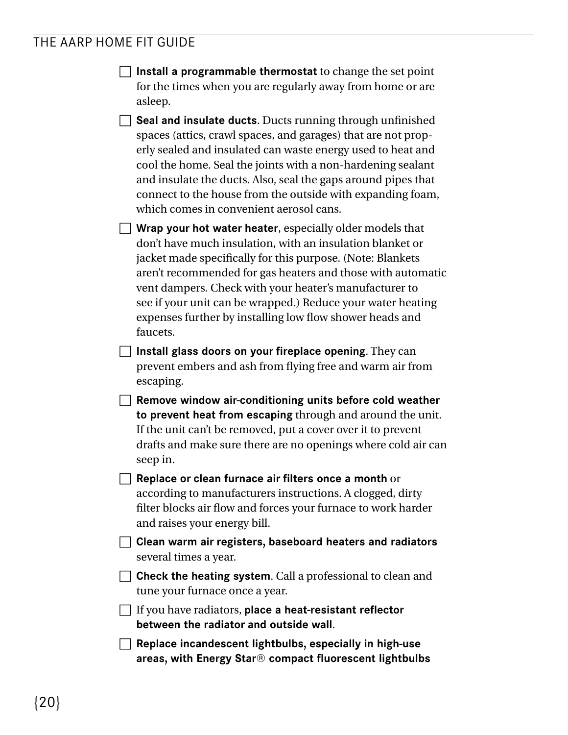- **T** Install a programmable thermostat to change the set point for the times when you are regularly away from home or are asleep.
- **Seal and insulate ducts**. Ducts running through unfinished spaces (attics, crawl spaces, and garages) that are not properly sealed and insulated can waste energy used to heat and cool the home. Seal the joints with a non-hardening sealant and insulate the ducts. Also, seal the gaps around pipes that connect to the house from the outside with expanding foam, which comes in convenient aerosol cans.

 $\Box$  Wrap your hot water heater, especially older models that don't have much insulation, with an insulation blanket or jacket made specifcally for this purpose. (Note: Blankets aren't recommended for gas heaters and those with automatic vent dampers. Check with your heater's manufacturer to see if your unit can be wrapped.) Reduce your water heating expenses further by installing low flow shower heads and faucets.

**Install glass doors on your fireplace opening.** They can prevent embers and ash from fying free and warm air from escaping.

**The Remove window air-conditioning units before cold weather to prevent heat from escaping** through and around the unit. If the unit can't be removed, put a cover over it to prevent drafts and make sure there are no openings where cold air can seep in.

**C** Replace or clean furnace air filters once a month or according to manufacturers instructions. A clogged, dirty filter blocks air flow and forces your furnace to work harder and raises your energy bill.

- $\Box$  **Clean warm air registers, baseboard heaters and radiators** several times a year.
- **Check the heating system.** Call a professional to clean and tune your furnace once a year.

c If you have radiators, **place a heat-resistant reflector between the radiator and outside wall**.

**The Replace incandescent lightbulbs, especially in high-use areas, with Energy Star® compact fluorescent lightbulbs**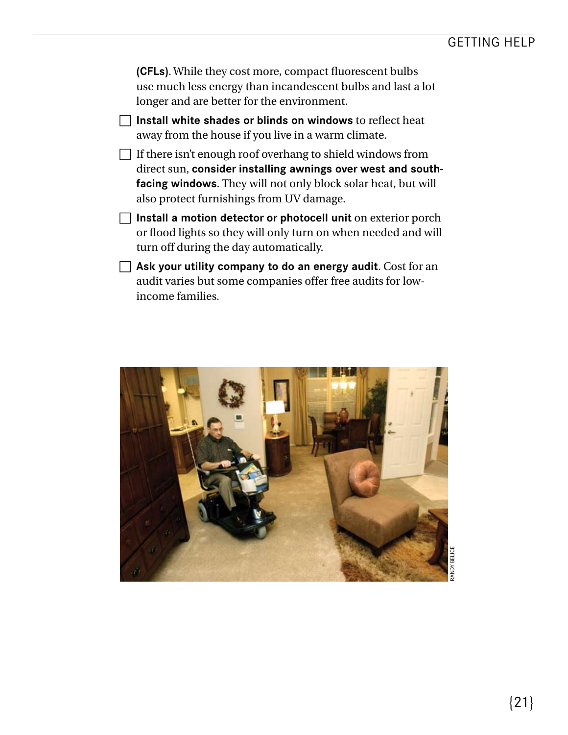**(CFLs)**. While they cost more, compact fuorescent bulbs use much less energy than incandescent bulbs and last a lot longer and are better for the environment.

- $\Box$  Install white shades or blinds on windows to reflect heat away from the house if you live in a warm climate.
- $\Box$  If there isn't enough roof overhang to shield windows from direct sun, **consider installing awnings over west and southfacing windows**. They will not only block solar heat, but will also protect furnishings from UV damage.
- **Install a motion detector or photocell unit** on exterior porch or flood lights so they will only turn on when needed and will turn off during the day automatically.
- $\Box$  Ask your utility company to do an energy audit. Cost for an audit varies but some companies offer free audits for lowincome families.

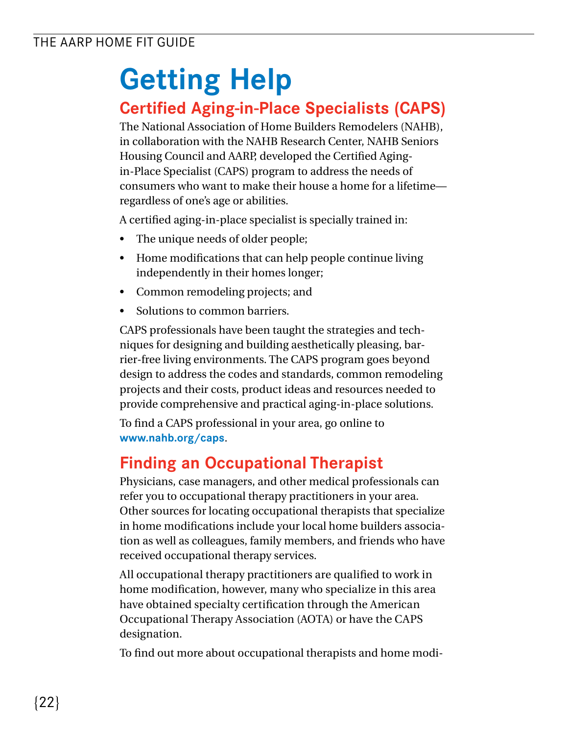## **Getting Help**

## **Certified Aging-in-Place Specialists (CAPS)**

The National Association of Home Builders Remodelers (NAHB), in collaboration with the NAHB Research Center, NAHB Seniors Housing Council and AARP, developed the Certifed Agingin-Place Specialist (CAPS) program to address the needs of consumers who want to make their house a home for a lifetime regardless of one's age or abilities.

A certifed aging-in-place specialist is specially trained in:

- The unique needs of older people;
- Home modifications that can help people continue living independently in their homes longer;
- Common remodeling projects; and
- Solutions to common barriers.

CAPS professionals have been taught the strategies and techniques for designing and building aesthetically pleasing, barrier-free living environments. The CAPS program goes beyond design to address the codes and standards, common remodeling projects and their costs, product ideas and resources needed to provide comprehensive and practical aging-in-place solutions.

To fnd a CAPS professional in your area, go online to **<www.nahb.org/caps>**.

## **Finding an Occupational Therapist**

Physicians, case managers, and other medical professionals can refer you to occupational therapy practitioners in your area. Other sources for locating occupational therapists that specialize in home modifcations include your local home builders association as well as colleagues, family members, and friends who have received occupational therapy services.

All occupational therapy practitioners are qualifed to work in home modifcation, however, many who specialize in this area have obtained specialty certifcation through the American Occupational Therapy Association (AOTA) or have the CAPS designation.

To fnd out more about occupational therapists and home modi-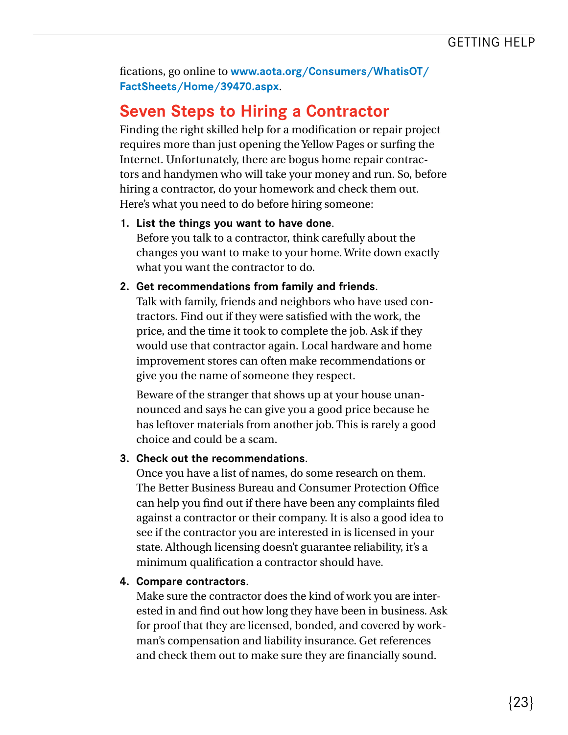fcations, go online to **[www.aota.org/Consumers/WhatisOT/](www.aota.org/Consumers/WhatisOT) FactSheets/Home/39470.aspx**.

## **Seven Steps to Hiring a Contractor**

Finding the right skilled help for a modifcation or repair project requires more than just opening the Yellow Pages or surfng the Internet. Unfortunately, there are bogus home repair contractors and handymen who will take your money and run. So, before hiring a contractor, do your homework and check them out. Here's what you need to do before hiring someone:

#### **1. List the things you want to have done**. Before you talk to a contractor, think carefully about the changes you want to make to your home. Write down exactly what you want the contractor to do.

#### **2. Get recommendations from family and friends**.

Talk with family, friends and neighbors who have used contractors. Find out if they were satisfed with the work, the price, and the time it took to complete the job. Ask if they would use that contractor again. Local hardware and home improvement stores can often make recommendations or give you the name of someone they respect.

Beware of the stranger that shows up at your house unannounced and says he can give you a good price because he has leftover materials from another job. This is rarely a good choice and could be a scam.

#### **3. Check out the recommendations**.

Once you have a list of names, do some research on them. The Better Business Bureau and Consumer Protection Office can help you fnd out if there have been any complaints fled against a contractor or their company. It is also a good idea to see if the contractor you are interested in is licensed in your state. Although licensing doesn't guarantee reliability, it's a minimum qualifcation a contractor should have.

#### **4. Compare contractors**.

 Make sure the contractor does the kind of work you are inter- ested in and fnd out how long they have been in business. Ask for proof that they are licensed, bonded, and covered by work- man's compensation and liability insurance. Get references and check them out to make sure they are fnancially sound.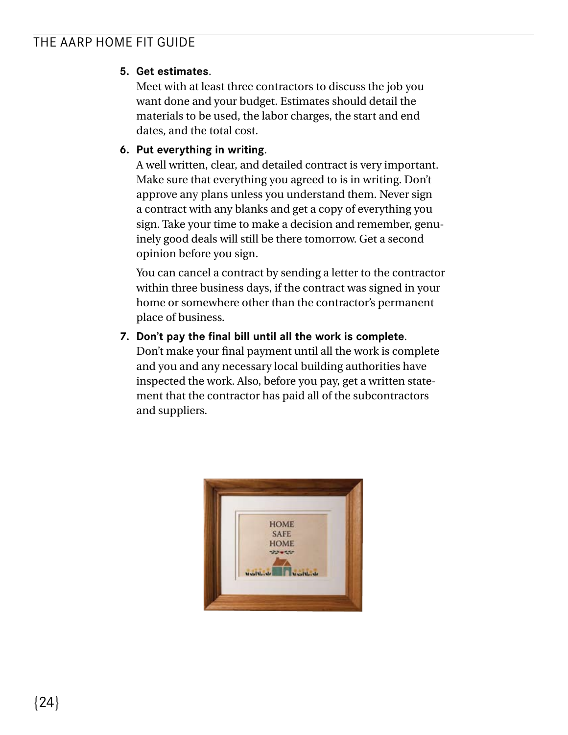#### **5. Get estimates**.

Meet with at least three contractors to discuss the job you want done and your budget. Estimates should detail the materials to be used, the labor charges, the start and end dates, and the total cost.

#### **6. Put everything in writing**.

A well written, clear, and detailed contract is very important. Make sure that everything you agreed to is in writing. Don't approve any plans unless you understand them. Never sign a contract with any blanks and get a copy of everything you sign. Take your time to make a decision and remember, genuinely good deals will still be there tomorrow. Get a second opinion before you sign.

You can cancel a contract by sending a letter to the contractor within three business days, if the contract was signed in your home or somewhere other than the contractor's permanent place of business.

#### **7. Don't pay the final bill until all the work is complete**.

Don't make your fnal payment until all the work is complete and you and any necessary local building authorities have inspected the work. Also, before you pay, get a written statement that the contractor has paid all of the subcontractors and suppliers.

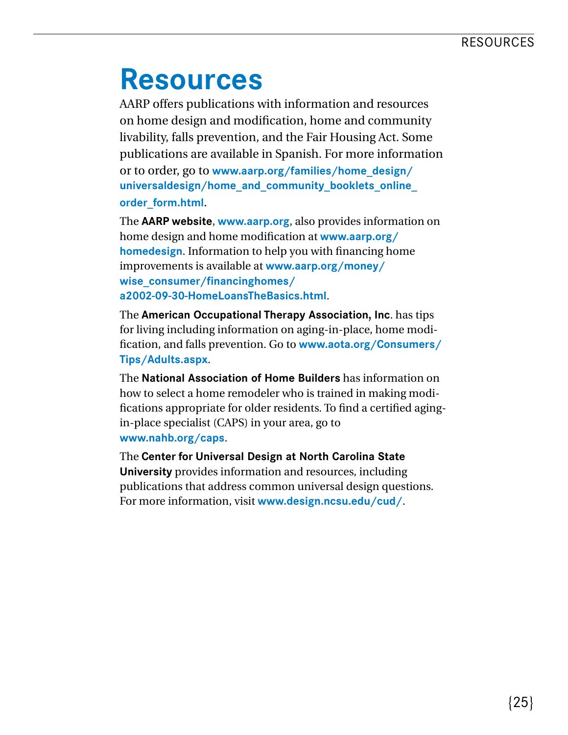## **Resources**

AARP offers publications with information and resources on home design and modifcation, home and community livability, falls prevention, and the Fair Housing Act. Some publications are available in Spanish. For more information or to order, go to **[www.aarp.org/families/home\\_design](www.aarp.org/families/home_design)/ universaldesign/home\_and\_community\_booklets\_online\_ order\_form.html**.

The **AARP website**, **<www.aarp.org>**, also provides information on home design and home modifcation at **[www.aarp.org/](www.aarp.org) homedesign**. Information to help you with fnancing home improvements is available at **<www.aarp.org/money>/ wise\_consumer/financinghomes/ a2002-09-30-HomeLoansTheBasics.html**.

The **American Occupational Therapy Association, Inc**. has tips for living including information on aging-in-place, home modifcation, and falls prevention. Go to **<www.aota.org/Consumers>/ Tips/Adults.aspx**.

The **National Association of Home Builders** has information on how to select a home remodeler who is trained in making modifcations appropriate for older residents. To fnd a certifed agingin-place specialist (CAPS) in your area, go to **<www.nahb.org/caps>**.

The **Center for Universal Design at North Carolina State University** provides information and resources, including publications that address common universal design questions. For more information, visit **[www.design.ncsu.edu/cud/](www.design.ncsu.edu/cud)**.